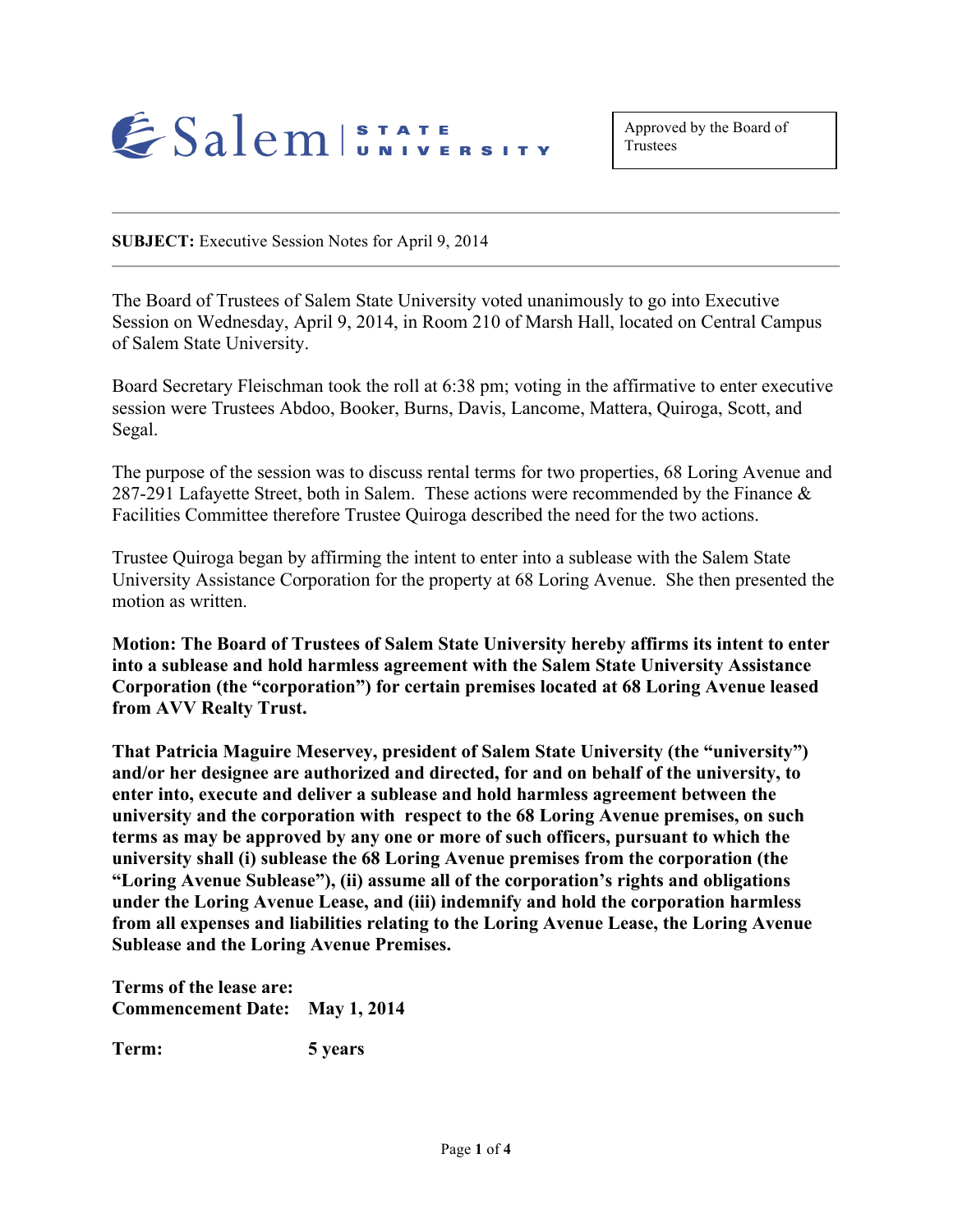

**SUBJECT:** Executive Session Notes for April 9, 2014

The Board of Trustees of Salem State University voted unanimously to go into Executive Session on Wednesday, April 9, 2014, in Room 210 of Marsh Hall, located on Central Campus of Salem State University.

Board Secretary Fleischman took the roll at 6:38 pm; voting in the affirmative to enter executive session were Trustees Abdoo, Booker, Burns, Davis, Lancome, Mattera, Quiroga, Scott, and Segal.

The purpose of the session was to discuss rental terms for two properties, 68 Loring Avenue and 287-291 Lafayette Street, both in Salem. These actions were recommended by the Finance  $\&$ Facilities Committee therefore Trustee Quiroga described the need for the two actions.

Trustee Quiroga began by affirming the intent to enter into a sublease with the Salem State University Assistance Corporation for the property at 68 Loring Avenue. She then presented the motion as written.

**Motion: The Board of Trustees of Salem State University hereby affirms its intent to enter into a sublease and hold harmless agreement with the Salem State University Assistance Corporation (the "corporation") for certain premises located at 68 Loring Avenue leased from AVV Realty Trust.**

**That Patricia Maguire Meservey, president of Salem State University (the "university") and/or her designee are authorized and directed, for and on behalf of the university, to enter into, execute and deliver a sublease and hold harmless agreement between the university and the corporation with respect to the 68 Loring Avenue premises, on such terms as may be approved by any one or more of such officers, pursuant to which the university shall (i) sublease the 68 Loring Avenue premises from the corporation (the "Loring Avenue Sublease"), (ii) assume all of the corporation's rights and obligations under the Loring Avenue Lease, and (iii) indemnify and hold the corporation harmless from all expenses and liabilities relating to the Loring Avenue Lease, the Loring Avenue Sublease and the Loring Avenue Premises.**

**Terms of the lease are: Commencement Date: May 1, 2014**

**Term: 5 years**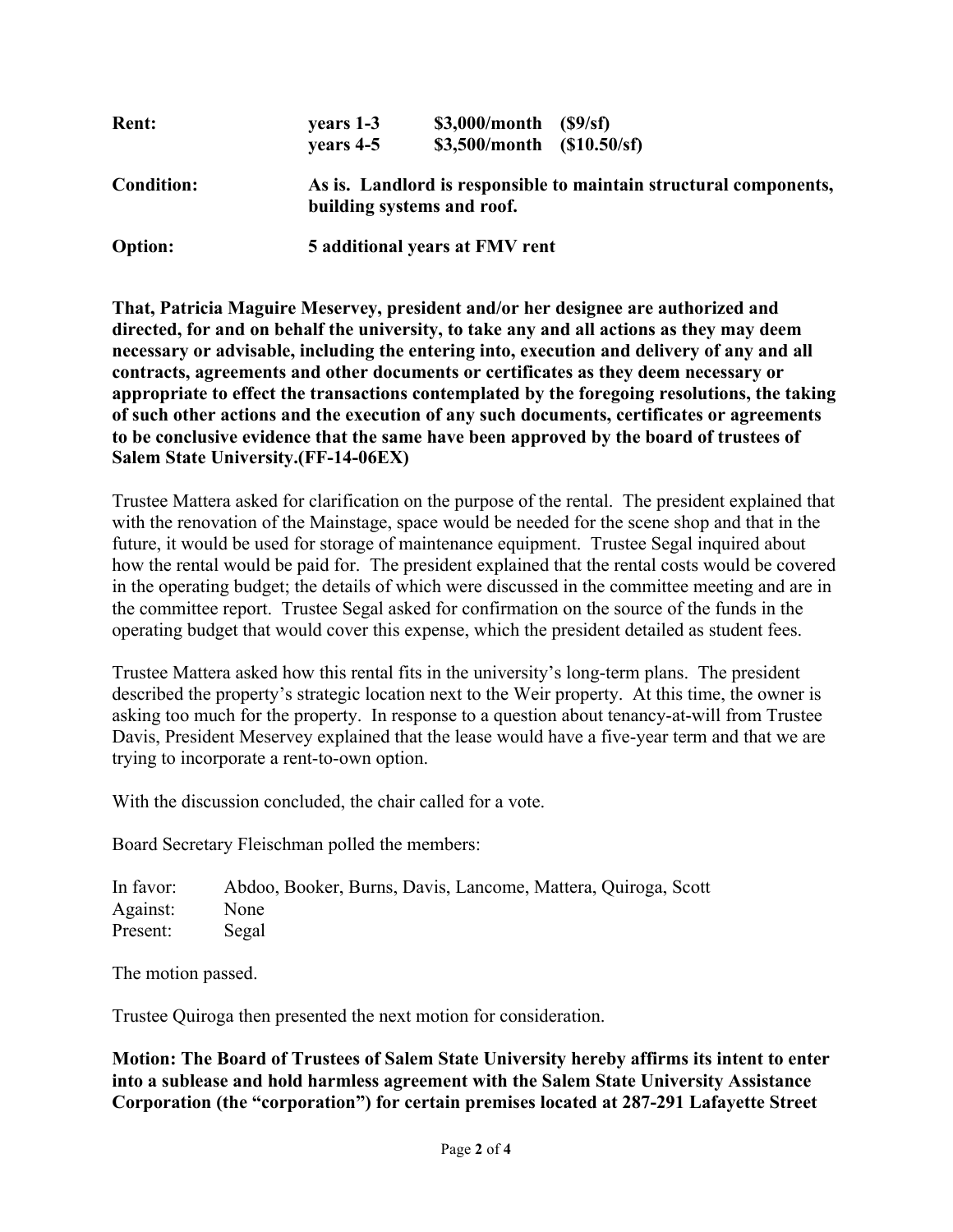| <b>Rent:</b>      | years 1-3                      | $$3,000/month$ $($9/sf)$                                                                        |  |
|-------------------|--------------------------------|-------------------------------------------------------------------------------------------------|--|
|                   | vears 4-5                      | $$3,500/month$ $$10.50/sf)$                                                                     |  |
| <b>Condition:</b> |                                | As is. Landlord is responsible to maintain structural components,<br>building systems and roof. |  |
| <b>Option:</b>    | 5 additional years at FMV rent |                                                                                                 |  |

**That, Patricia Maguire Meservey, president and/or her designee are authorized and directed, for and on behalf the university, to take any and all actions as they may deem necessary or advisable, including the entering into, execution and delivery of any and all contracts, agreements and other documents or certificates as they deem necessary or appropriate to effect the transactions contemplated by the foregoing resolutions, the taking of such other actions and the execution of any such documents, certificates or agreements to be conclusive evidence that the same have been approved by the board of trustees of Salem State University.(FF-14-06EX)**

Trustee Mattera asked for clarification on the purpose of the rental. The president explained that with the renovation of the Mainstage, space would be needed for the scene shop and that in the future, it would be used for storage of maintenance equipment. Trustee Segal inquired about how the rental would be paid for. The president explained that the rental costs would be covered in the operating budget; the details of which were discussed in the committee meeting and are in the committee report. Trustee Segal asked for confirmation on the source of the funds in the operating budget that would cover this expense, which the president detailed as student fees.

Trustee Mattera asked how this rental fits in the university's long-term plans. The president described the property's strategic location next to the Weir property. At this time, the owner is asking too much for the property. In response to a question about tenancy-at-will from Trustee Davis, President Meservey explained that the lease would have a five-year term and that we are trying to incorporate a rent-to-own option.

With the discussion concluded, the chair called for a vote.

Board Secretary Fleischman polled the members:

| In favor: | Abdoo, Booker, Burns, Davis, Lancome, Mattera, Quiroga, Scott |
|-----------|---------------------------------------------------------------|
| Against:  | <b>None</b>                                                   |
| Present:  | Segal                                                         |

The motion passed.

Trustee Quiroga then presented the next motion for consideration.

**Motion: The Board of Trustees of Salem State University hereby affirms its intent to enter into a sublease and hold harmless agreement with the Salem State University Assistance Corporation (the "corporation") for certain premises located at 287-291 Lafayette Street**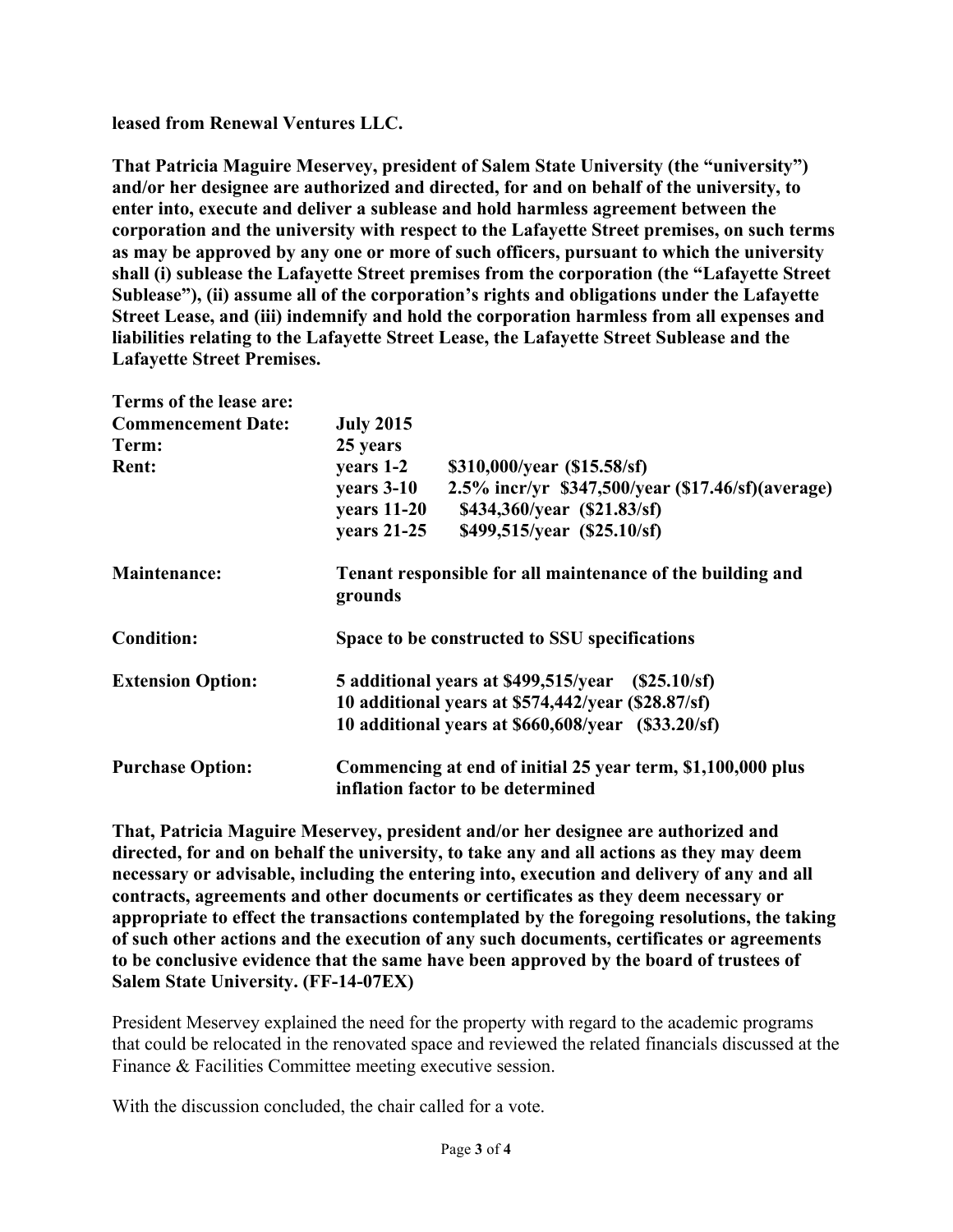**leased from Renewal Ventures LLC.**

**That Patricia Maguire Meservey, president of Salem State University (the "university") and/or her designee are authorized and directed, for and on behalf of the university, to enter into, execute and deliver a sublease and hold harmless agreement between the corporation and the university with respect to the Lafayette Street premises, on such terms as may be approved by any one or more of such officers, pursuant to which the university shall (i) sublease the Lafayette Street premises from the corporation (the "Lafayette Street Sublease"), (ii) assume all of the corporation's rights and obligations under the Lafayette Street Lease, and (iii) indemnify and hold the corporation harmless from all expenses and liabilities relating to the Lafayette Street Lease, the Lafayette Street Sublease and the Lafayette Street Premises.**

| Terms of the lease are:   |                                                                       |  |  |
|---------------------------|-----------------------------------------------------------------------|--|--|
| <b>Commencement Date:</b> | <b>July 2015</b>                                                      |  |  |
| Term:                     | 25 years                                                              |  |  |
| <b>Rent:</b>              | years 1-2<br>\$310,000/year (\$15.58/sf)                              |  |  |
|                           | years 3-10<br>2.5% incr/yr \$347,500/year (\$17.46/sf)(average)       |  |  |
|                           | <b>years</b> 11-20<br>\$434,360/year (\$21.83/sf)                     |  |  |
|                           | <b>years</b> 21-25<br>\$499,515/year (\$25.10/sf)                     |  |  |
| <b>Maintenance:</b>       | Tenant responsible for all maintenance of the building and<br>grounds |  |  |
| <b>Condition:</b>         | Space to be constructed to SSU specifications                         |  |  |
| <b>Extension Option:</b>  | 5 additional years at \$499,515/year (\$25.10/sf)                     |  |  |
|                           | 10 additional years at \$574,442/year (\$28.87/sf)                    |  |  |
|                           | 10 additional years at \$660,608/year (\$33.20/sf)                    |  |  |
| <b>Purchase Option:</b>   | Commencing at end of initial 25 year term, \$1,100,000 plus           |  |  |
|                           | inflation factor to be determined                                     |  |  |

**That, Patricia Maguire Meservey, president and/or her designee are authorized and directed, for and on behalf the university, to take any and all actions as they may deem necessary or advisable, including the entering into, execution and delivery of any and all contracts, agreements and other documents or certificates as they deem necessary or appropriate to effect the transactions contemplated by the foregoing resolutions, the taking of such other actions and the execution of any such documents, certificates or agreements to be conclusive evidence that the same have been approved by the board of trustees of Salem State University. (FF-14-07EX)**

President Meservey explained the need for the property with regard to the academic programs that could be relocated in the renovated space and reviewed the related financials discussed at the Finance & Facilities Committee meeting executive session.

With the discussion concluded, the chair called for a vote.